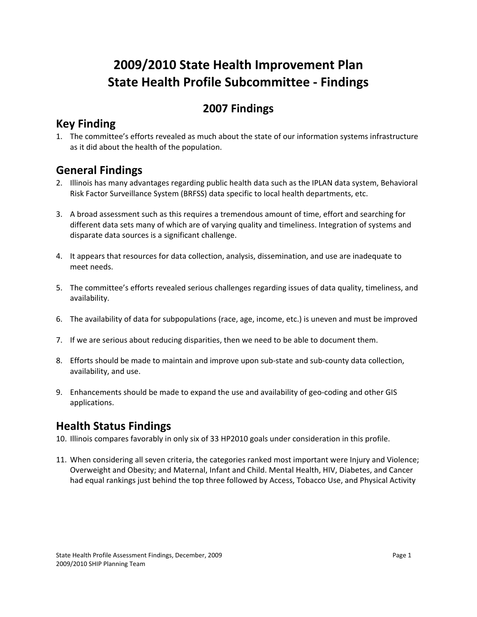# **2009/2010 State Health Improvement Plan State Health Profile Subcommittee ‐ Findings**

### **2007 Findings**

#### **Key Finding**

1. The committee's efforts revealed as much about the state of our information systems infrastructure as it did about the health of the population.

## **General Findings**

- 2. Illinois has many advantages regarding public health data such as the IPLAN data system, Behavioral Risk Factor Surveillance System (BRFSS) data specific to local health departments, etc.
- 3. A broad assessment such as this requires a tremendous amount of time, effort and searching for different data sets many of which are of varying quality and timeliness. Integration of systems and disparate data sources is a significant challenge.
- 4. It appears that resources for data collection, analysis, dissemination, and use are inadequate to meet needs.
- 5. The committee's efforts revealed serious challenges regarding issues of data quality, timeliness, and availability.
- 6. The availability of data for subpopulations (race, age, income, etc.) is uneven and must be improved
- 7. If we are serious about reducing disparities, then we need to be able to document them.
- 8. Efforts should be made to maintain and improve upon sub‐state and sub‐county data collection, availability, and use.
- 9. Enhancements should be made to expand the use and availability of geo-coding and other GIS applications.

### **Health Status Findings**

- 10. Illinois compares favorably in only six of 33 HP2010 goals under consideration in this profile.
- 11. When considering all seven criteria, the categories ranked most important were Injury and Violence; Overweight and Obesity; and Maternal, Infant and Child. Mental Health, HIV, Diabetes, and Cancer had equal rankings just behind the top three followed by Access, Tobacco Use, and Physical Activity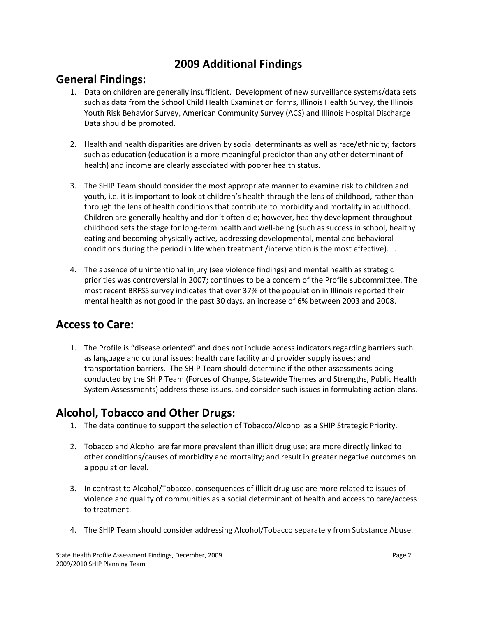## **2009 Additional Findings**

#### **General Findings:**

- 1. Data on children are generally insufficient. Development of new surveillance systems/data sets such as data from the School Child Health Examination forms, Illinois Health Survey, the Illinois Youth Risk Behavior Survey, American Community Survey (ACS) and Illinois Hospital Discharge Data should be promoted.
- 2. Health and health disparities are driven by social determinants as well as race/ethnicity; factors such as education (education is a more meaningful predictor than any other determinant of health) and income are clearly associated with poorer health status.
- 3. The SHIP Team should consider the most appropriate manner to examine risk to children and youth, i.e. it is important to look at children's health through the lens of childhood, rather than through the lens of health conditions that contribute to morbidity and mortality in adulthood. Children are generally healthy and don't often die; however, healthy development throughout childhood sets the stage for long‐term health and well‐being (such as success in school, healthy eating and becoming physically active, addressing developmental, mental and behavioral conditions during the period in life when treatment /intervention is the most effective). .
- 4. The absence of unintentional injury (see violence findings) and mental health as strategic priorities was controversial in 2007; continues to be a concern of the Profile subcommittee. The most recent BRFSS survey indicates that over 37% of the population in Illinois reported their mental health as not good in the past 30 days, an increase of 6% between 2003 and 2008.

## **Access to Care:**

1. The Profile is "disease oriented" and does not include access indicators regarding barriers such as language and cultural issues; health care facility and provider supply issues; and transportation barriers. The SHIP Team should determine if the other assessments being conducted by the SHIP Team (Forces of Change, Statewide Themes and Strengths, Public Health System Assessments) address these issues, and consider such issues in formulating action plans.

#### **Alcohol, Tobacco and Other Drugs:**

- 1. The data continue to support the selection of Tobacco/Alcohol as a SHIP Strategic Priority.
- 2. Tobacco and Alcohol are far more prevalent than illicit drug use; are more directly linked to other conditions/causes of morbidity and mortality; and result in greater negative outcomes on a population level.
- 3. In contrast to Alcohol/Tobacco, consequences of illicit drug use are more related to issues of violence and quality of communities as a social determinant of health and access to care/access to treatment.
- 4. The SHIP Team should consider addressing Alcohol/Tobacco separately from Substance Abuse.